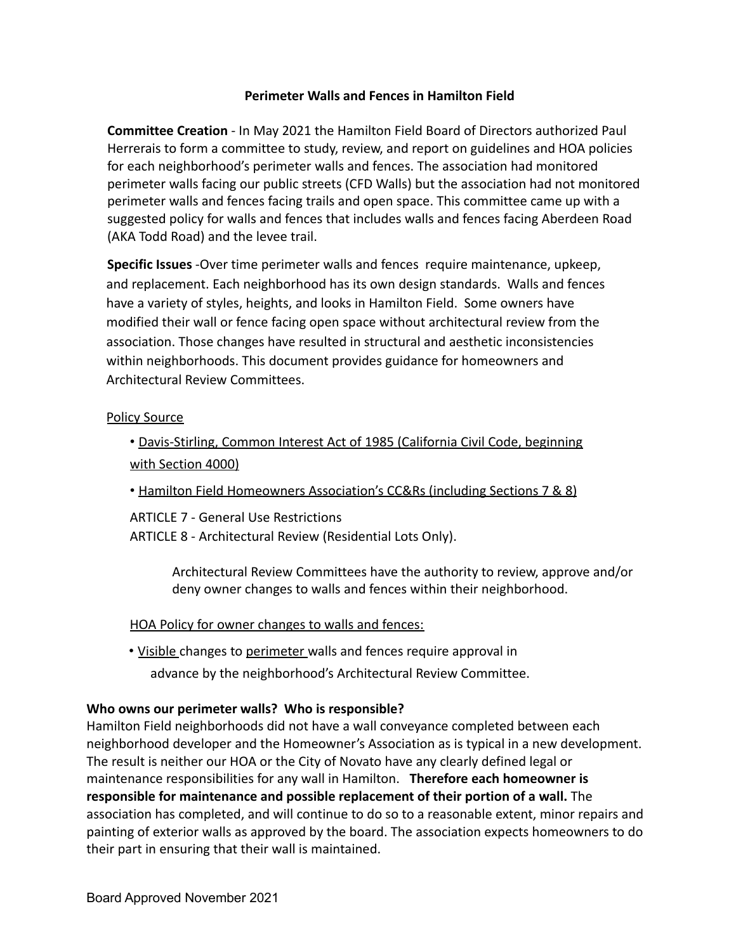## **Perimeter Walls and Fences in Hamilton Field**

**Committee Creation** - In May 2021 the Hamilton Field Board of Directors authorized Paul Herrerais to form a committee to study, review, and report on guidelines and HOA policies for each neighborhood's perimeter walls and fences. The association had monitored perimeter walls facing our public streets (CFD Walls) but the association had not monitored perimeter walls and fences facing trails and open space. This committee came up with a suggested policy for walls and fences that includes walls and fences facing Aberdeen Road (AKA Todd Road) and the levee trail.

**Specific Issues** -Over time perimeter walls and fences require maintenance, upkeep, and replacement. Each neighborhood has its own design standards. Walls and fences have a variety of styles, heights, and looks in Hamilton Field. Some owners have modified their wall or fence facing open space without architectural review from the association. Those changes have resulted in structural and aesthetic inconsistencies within neighborhoods. This document provides guidance for homeowners and Architectural Review Committees.

### Policy Source

# • Davis-Stirling, Common Interest Act of 1985 (California Civil Code, beginning with Section 4000)

• Hamilton Field Homeowners Association's CC&Rs (including Sections 7 & 8)

ARTICLE 7 - General Use Restrictions

ARTICLE 8 - Architectural Review (Residential Lots Only).

Architectural Review Committees have the authority to review, approve and/or deny owner changes to walls and fences within their neighborhood.

### HOA Policy for owner changes to walls and fences:

• Visible changes to perimeter walls and fences require approval in advance by the neighborhood's Architectural Review Committee.

### **Who owns our perimeter walls? Who is responsible?**

Hamilton Field neighborhoods did not have a wall conveyance completed between each neighborhood developer and the Homeowner's Association as is typical in a new development. The result is neither our HOA or the City of Novato have any clearly defined legal or maintenance responsibilities for any wall in Hamilton. **Therefore each homeowner is responsible for maintenance and possible replacement of their portion of a wall.** The association has completed, and will continue to do so to a reasonable extent, minor repairs and painting of exterior walls as approved by the board. The association expects homeowners to do their part in ensuring that their wall is maintained.